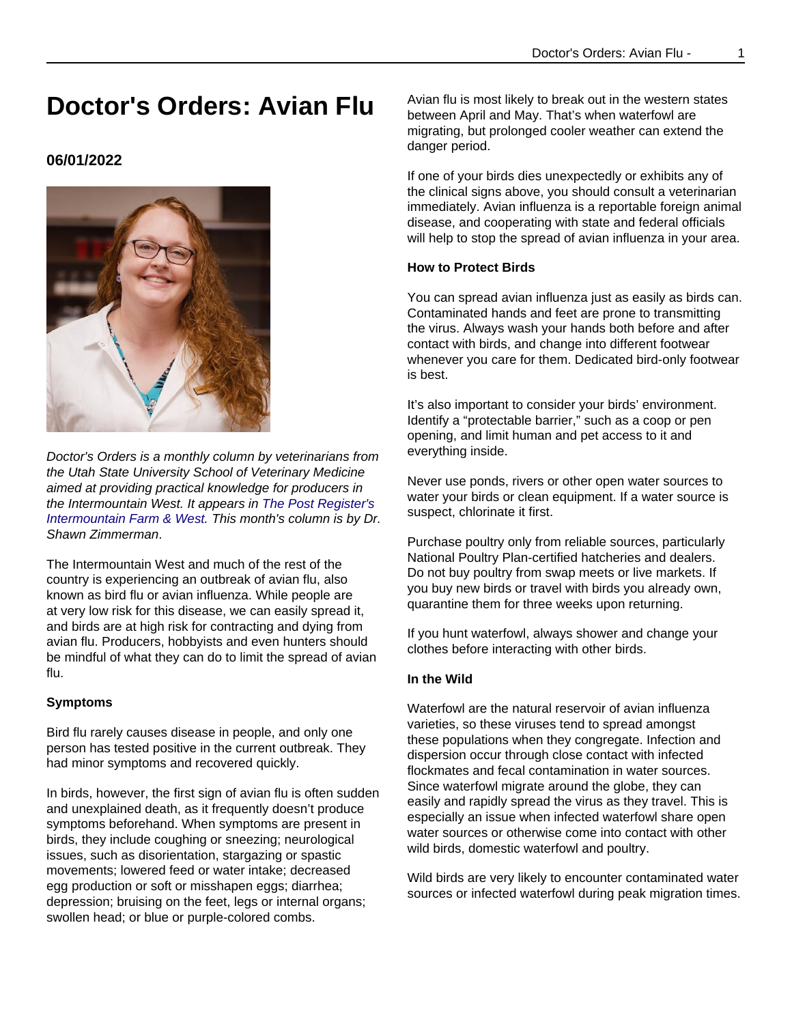# **Doctor's Orders: Avian Flu**

## **06/01/2022**



Doctor's Orders is a monthly column by veterinarians from the Utah State University School of Veterinary Medicine aimed at providing practical knowledge for producers in the Intermountain West. It appears in [The Post Register's](https://www.postregister.com/farmandranch/columnists/doctors_orders/doctors-orders-avian-flu/article_1f405414-ff34-5f49-a522-410f425b879b.html) [Intermountain Farm & West](https://www.postregister.com/farmandranch/columnists/doctors_orders/doctors-orders-avian-flu/article_1f405414-ff34-5f49-a522-410f425b879b.html). This month's column is by Dr. Shawn Zimmerman.

The Intermountain West and much of the rest of the country is experiencing an outbreak of avian flu, also known as bird flu or avian influenza. While people are at very low risk for this disease, we can easily spread it, and birds are at high risk for contracting and dying from avian flu. Producers, hobbyists and even hunters should be mindful of what they can do to limit the spread of avian flu.

### **Symptoms**

Bird flu rarely causes disease in people, and only one person has tested positive in the current outbreak. They had minor symptoms and recovered quickly.

In birds, however, the first sign of avian flu is often sudden and unexplained death, as it frequently doesn't produce symptoms beforehand. When symptoms are present in birds, they include coughing or sneezing; neurological issues, such as disorientation, stargazing or spastic movements; lowered feed or water intake; decreased egg production or soft or misshapen eggs; diarrhea; depression; bruising on the feet, legs or internal organs; swollen head; or blue or purple-colored combs.

Avian flu is most likely to break out in the western states between April and May. That's when waterfowl are migrating, but prolonged cooler weather can extend the danger period.

If one of your birds dies unexpectedly or exhibits any of the clinical signs above, you should consult a veterinarian immediately. Avian influenza is a reportable foreign animal disease, and cooperating with state and federal officials will help to stop the spread of avian influenza in your area.

### **How to Protect Birds**

You can spread avian influenza just as easily as birds can. Contaminated hands and feet are prone to transmitting the virus. Always wash your hands both before and after contact with birds, and change into different footwear whenever you care for them. Dedicated bird-only footwear is best.

It's also important to consider your birds' environment. Identify a "protectable barrier," such as a coop or pen opening, and limit human and pet access to it and everything inside.

Never use ponds, rivers or other open water sources to water your birds or clean equipment. If a water source is suspect, chlorinate it first.

Purchase poultry only from reliable sources, particularly National Poultry Plan-certified hatcheries and dealers. Do not buy poultry from swap meets or live markets. If you buy new birds or travel with birds you already own, quarantine them for three weeks upon returning.

If you hunt waterfowl, always shower and change your clothes before interacting with other birds.

### **In the Wild**

Waterfowl are the natural reservoir of avian influenza varieties, so these viruses tend to spread amongst these populations when they congregate. Infection and dispersion occur through close contact with infected flockmates and fecal contamination in water sources. Since waterfowl migrate around the globe, they can easily and rapidly spread the virus as they travel. This is especially an issue when infected waterfowl share open water sources or otherwise come into contact with other wild birds, domestic waterfowl and poultry.

Wild birds are very likely to encounter contaminated water sources or infected waterfowl during peak migration times.